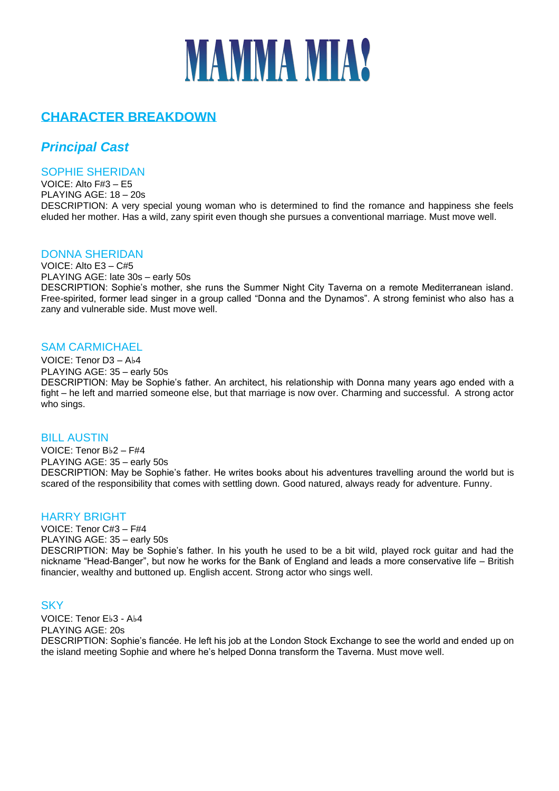# **MAMMA MIA?**

# **CHARACTER BREAKDOWN**

# *Principal Cast*

#### SOPHIE SHERIDAN

VOICE: Alto F#3 – E5 PLAYING AGE: 18 – 20s DESCRIPTION: A very special young woman who is determined to find the romance and happiness she feels eluded her mother. Has a wild, zany spirit even though she pursues a conventional marriage. Must move well.

#### DONNA SHERIDAN

VOICE: Alto E3 – C#5 PLAYING AGE: late 30s – early 50s DESCRIPTION: Sophie's mother, she runs the Summer Night City Taverna on a remote Mediterranean island. Free-spirited, former lead singer in a group called "Donna and the Dynamos". A strong feminist who also has a zany and vulnerable side. Must move well.

## SAM CARMICHAEL

VOICE: Tenor D3 – A♭4 PLAYING AGE: 35 – early 50s DESCRIPTION: May be Sophie's father. An architect, his relationship with Donna many years ago ended with a fight – he left and married someone else, but that marriage is now over. Charming and successful. A strong actor who sings.

#### **BILL AUSTIN**

VOICE: Tenor B♭2 – F#4 PLAYING AGE: 35 – early 50s DESCRIPTION: May be Sophie's father. He writes books about his adventures travelling around the world but is scared of the responsibility that comes with settling down. Good natured, always ready for adventure. Funny.

#### HARRY BRIGHT

VOICE: Tenor C#3 – F#4 PLAYING AGE: 35 – early 50s DESCRIPTION: May be Sophie's father. In his youth he used to be a bit wild, played rock guitar and had the nickname "Head-Banger", but now he works for the Bank of England and leads a more conservative life – British financier, wealthy and buttoned up. English accent. Strong actor who sings well.

## **SKY**

VOICE: Tenor E♭3 - A♭4 PLAYING AGE: 20s DESCRIPTION: Sophie's fiancée. He left his job at the London Stock Exchange to see the world and ended up on the island meeting Sophie and where he's helped Donna transform the Taverna. Must move well.